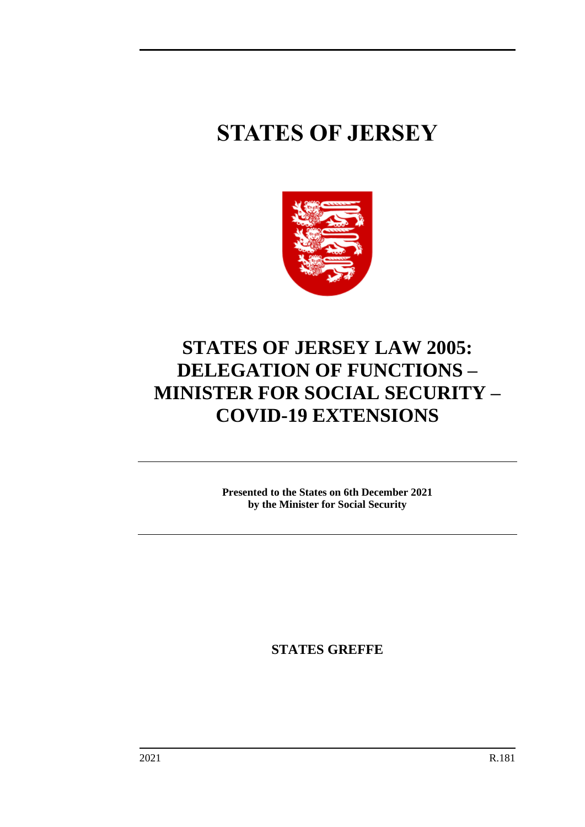# **STATES OF JERSEY**



# **STATES OF JERSEY LAW 2005: DELEGATION OF FUNCTIONS – MINISTER FOR SOCIAL SECURITY – COVID-19 EXTENSIONS**

**Presented to the States on 6th December 2021 by the Minister for Social Security**

**STATES GREFFE**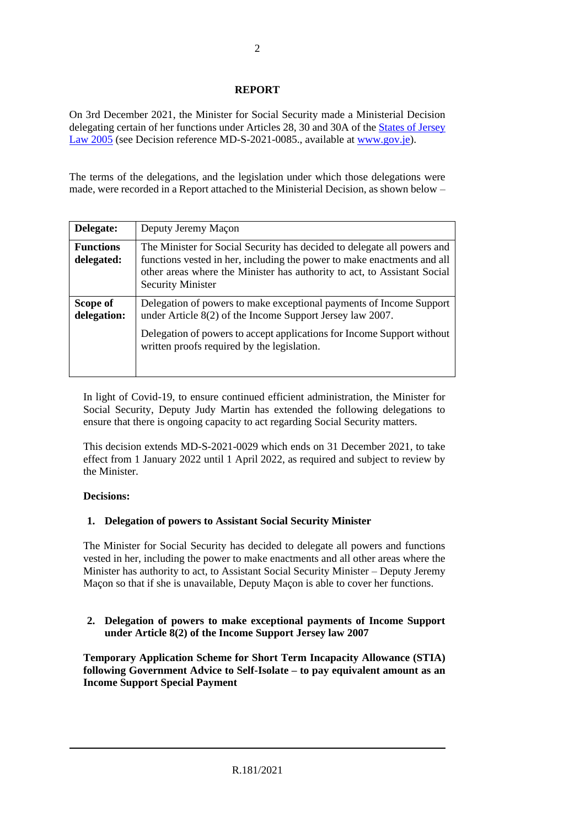# **REPORT**

On 3rd December 2021, the Minister for Social Security made a Ministerial Decision delegating certain of her functions under Articles 28, 30 and 30A of the [States of Jersey](https://www.jerseylaw.je/laws/unofficialconsolidated/Pages/16.800.aspx)  [Law 2005](https://www.jerseylaw.je/laws/unofficialconsolidated/Pages/16.800.aspx) (see Decision reference MD-S-2021-0085., available at [www.gov.je\)](http://www.gov.je/).

The terms of the delegations, and the legislation under which those delegations were made, were recorded in a Report attached to the Ministerial Decision, as shown below –

| Delegate:                      | Deputy Jeremy Maçon                                                                                                                                                                                                                                        |
|--------------------------------|------------------------------------------------------------------------------------------------------------------------------------------------------------------------------------------------------------------------------------------------------------|
| <b>Functions</b><br>delegated: | The Minister for Social Security has decided to delegate all powers and<br>functions vested in her, including the power to make enactments and all<br>other areas where the Minister has authority to act, to Assistant Social<br><b>Security Minister</b> |
| Scope of<br>delegation:        | Delegation of powers to make exceptional payments of Income Support<br>under Article $8(2)$ of the Income Support Jersey law 2007.                                                                                                                         |
|                                | Delegation of powers to accept applications for Income Support without<br>written proofs required by the legislation.                                                                                                                                      |

In light of Covid-19, to ensure continued efficient administration, the Minister for Social Security, Deputy Judy Martin has extended the following delegations to ensure that there is ongoing capacity to act regarding Social Security matters.

This decision extends MD-S-2021-0029 which ends on 31 December 2021, to take effect from 1 January 2022 until 1 April 2022, as required and subject to review by the Minister.

#### **Decisions:**

# **1. Delegation of powers to Assistant Social Security Minister**

The Minister for Social Security has decided to delegate all powers and functions vested in her, including the power to make enactments and all other areas where the Minister has authority to act, to Assistant Social Security Minister – Deputy Jeremy Maçon so that if she is unavailable, Deputy Maçon is able to cover her functions.

# **2. Delegation of powers to make exceptional payments of Income Support under Article 8(2) of the Income Support Jersey law 2007**

**Temporary Application Scheme for Short Term Incapacity Allowance (STIA) following Government Advice to Self-Isolate – to pay equivalent amount as an Income Support Special Payment**